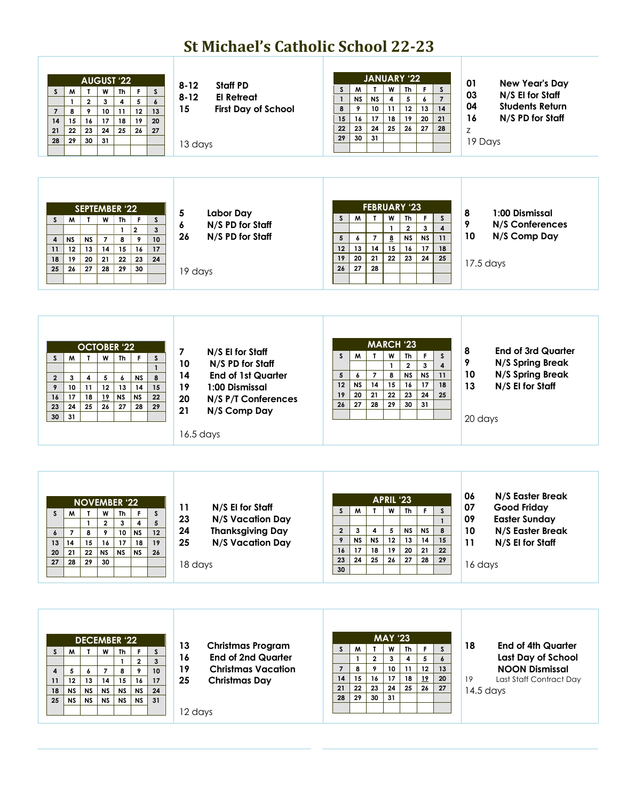## **St Michael's Catholic School 22-23**

| <b>AUGUST '22</b><br>M<br>W<br>Th<br>F.<br>S<br>S<br>T<br>$\mathbf{2}$<br>$\overline{\mathbf{4}}$<br>5<br>$\mathbf{3}$<br>$\boldsymbol{6}$<br>$\mathbf{1}$<br>9<br>10<br>12<br>8<br>11<br>13<br>$\overline{7}$<br>16<br>17<br>18<br>19<br>14<br>15<br>20<br>${\bf 24}$<br>23<br>25<br>26<br>22<br>21<br>27<br>31<br>29<br>30<br>28                                                                                        | $8 - 12$<br><b>Staff PD</b><br>$8 - 12$<br><b>El Retreat</b><br>15<br><b>First Day of School</b><br>13 days                                                                                        | <b>JANUARY '22</b><br>W<br>Th<br>S<br>M<br>$\mathbf{T}$<br>F<br>S<br><b>NS</b><br>4<br>5<br>$\overline{7}$<br>$\mathbf{1}$<br><b>NS</b><br>$\boldsymbol{6}$<br>11<br>10 <sub>1</sub><br>12<br>14<br>8<br>9<br>13<br>17<br>18<br>19<br>15<br>16<br>20<br>21<br>${\bf 24}$<br>25<br>26<br>23<br>27<br>28<br>22<br>30<br>31<br>29                                               | 01<br><b>New Year's Day</b><br>03<br>N/S El for Staff<br>04<br><b>Students Return</b><br>16<br>N/S PD for Staff<br>Z<br>19 Days                 |
|---------------------------------------------------------------------------------------------------------------------------------------------------------------------------------------------------------------------------------------------------------------------------------------------------------------------------------------------------------------------------------------------------------------------------|----------------------------------------------------------------------------------------------------------------------------------------------------------------------------------------------------|------------------------------------------------------------------------------------------------------------------------------------------------------------------------------------------------------------------------------------------------------------------------------------------------------------------------------------------------------------------------------|-------------------------------------------------------------------------------------------------------------------------------------------------|
| SEPTEMBER '22<br>M<br>Th<br>$\mathsf{s}$<br>$\mathbf{T}$<br>W<br>F.<br>S<br>$\mathbf{1}$<br>$\overline{2}$<br>$\mathbf{3}$<br><b>NS</b><br>9<br>10 <sup>10</sup><br><b>NS</b><br>$\overline{7}$<br>8<br>4<br>14<br>12<br>13<br>15<br>16<br>17<br>11<br>20<br>21<br>22<br>23<br>24<br>18<br>19<br>28<br>25<br>26<br>27<br>29<br>30                                                                                         | 5<br><b>Labor Day</b><br>6<br>N/S PD for Staff<br>N/S PD for Staff<br>26<br>19 days                                                                                                                | <b>FEBRUARY '23</b><br>M<br>$\mathbf{T}$<br>W<br>Th<br>F.<br>S.<br>S.<br>$\bf 2$<br>$\overline{\mathbf{4}}$<br>$\mathbf{1}$<br>$\mathbf{3}$<br>$\bf{8}$<br>5<br>$\overline{7}$<br><b>NS</b><br><b>NS</b><br>11<br>6<br>14<br>12<br>15<br>18<br>13<br>16<br>17<br>19<br>20<br>21<br>22<br>23<br>24<br>25<br>28<br>27<br>26                                                    | 8<br>1:00 Dismissal<br>9<br>N/S Conferences<br>10<br>N/S Comp Day<br>$17.5$ days                                                                |
| <b>OCTOBER '22</b><br>W<br><b>Th</b><br>M<br>$\mathbf{L}$<br>F.<br>S<br>S.<br>$\mathbf{1}$<br>5<br>8<br>4<br>$\boldsymbol{6}$<br><b>NS</b><br>$\overline{2}$<br>3<br>12<br>11<br>13<br>14<br>15<br>9<br>10<br>18<br>19<br>22<br>16<br>17<br><b>NS</b><br><b>NS</b><br>25<br>$\bf 26$<br>${\bf 27}$<br>24<br>28<br>29<br>23<br>31<br>30                                                                                    | $\overline{\mathbf{z}}$<br>N/S El for Staff<br>10<br>N/S PD for Staff<br>14<br><b>End of 1st Quarter</b><br>1:00 Dismissal<br>19<br>20<br>N/S P/T Conferences<br>21<br>N/S Comp Day<br>$16.5$ days | <b>MARCH '23</b><br>M<br>W<br><b>Th</b><br>$\mathsf F$<br>S<br>$\mathbf{r}$<br>S<br>$\overline{\mathbf{4}}$<br>$\overline{\mathbf{2}}$<br>$\mathbf{1}$<br>$\mathbf{3}$<br>$\overline{7}$<br>8<br><b>NS</b><br><b>NS</b><br>11<br>5<br>6<br>14<br>15<br>12<br><b>NS</b><br>16<br>17<br>18<br>21<br>$\bf 22$<br>23<br>24<br>25<br>19<br>20<br>26<br>27<br>28<br>29<br>30<br>31 | 8<br><b>End of 3rd Quarter</b><br>9<br>N/S Spring Break<br>N/S Spring Break<br>10<br>13<br>N/S El for Staff<br>20 days                          |
| <b>NOVEMBER '22</b><br>W<br>F<br>S.<br>M<br>$\mathbf{r}$<br>Th<br>S.<br>$\sqrt{5}$<br>4<br>$\mathbf 2$<br>3<br>$\overline{7}$<br>8<br>9<br>12<br>10<br><b>NS</b><br>$\boldsymbol{6}$<br>15<br>16<br>17<br>14<br>18<br>19<br>13<br>22<br>${\sf NS}$<br><b>NS</b><br>21<br><b>NS</b><br>26<br>20<br>28<br>${\bf 29}$<br>${\bf 27}$<br>30                                                                                    | 11<br>N/S El for Staff<br>23<br>N/S Vacation Day<br>24<br><b>Thanksgiving Day</b><br>25<br>N/S Vacation Day<br>18 days                                                                             | APRIL '23<br>W<br>M<br>$\mathbf{T}$<br>Th<br>F.<br>S<br>s<br>$\mathbf{1}$<br>8<br>$\mathbf{2}$<br>5<br><b>NS</b><br>3<br>4<br><b>NS</b><br>$\overline{\mathsf{N}}$<br>$\overline{12}$<br>$\overline{13}$<br>9<br><b>NS</b><br>14<br>15<br>17<br>${\bf 18}$<br>19<br>20<br>21<br>22<br>16<br>$25\,$<br>${\bf 26}$<br>24<br>27<br>28<br>29<br>23<br>30                         | N/S Easter Break<br>06<br>07<br><b>Good Friday</b><br>09<br><b>Easter Sunday</b><br>10<br>N/S Easter Break<br>N/S El for Staff<br>11<br>16 days |
| <b>DECEMBER '22</b><br>$\mathsf{s}$<br>M<br>Th<br>$\mathsf{s}$<br>$\mathbf{I}$<br>W<br>F<br>$\mathbf{3}$<br>$\mathbf{1}$<br>$\mathbf{2}$<br>$\overline{\phantom{a}}$<br>8<br>9<br>10<br>$\boldsymbol{4}$<br>5<br>6<br>$14$<br>17<br>12<br>13<br>15<br>16<br>11<br><b>NS</b><br><b>NS</b><br><b>NS</b><br><b>NS</b><br><b>NS</b><br>24<br>18<br>25<br>${\sf NS}$<br><b>NS</b><br><b>NS</b><br><b>NS</b><br><b>NS</b><br>31 | 13<br><b>Christmas Program</b><br>16<br><b>End of 2nd Quarter</b><br>19<br><b>Christmas Vacation</b><br>25<br><b>Christmas Day</b><br>12 days                                                      | <b>MAY '23</b><br>W<br>S.<br>M<br>T<br>Th<br>F<br>S.<br>$\mathbf{2}$<br>4<br>5<br>$\mathbf{1}$<br>3<br>$\boldsymbol{6}$<br>9<br>10<br>11<br>13<br>8<br>12<br>$\overline{7}$<br>$17\,$<br>16<br>18<br>19<br>14<br>15<br>20<br>23<br>${\bf 24}$<br>25<br>21<br>22<br>26<br>27<br>30<br>31<br>29<br>28                                                                          | 18<br><b>End of 4th Quarter</b><br>Last Day of School<br><b>NOON Dismissal</b><br>19<br>Last Staff Contract Day<br>$14.5$ days                  |